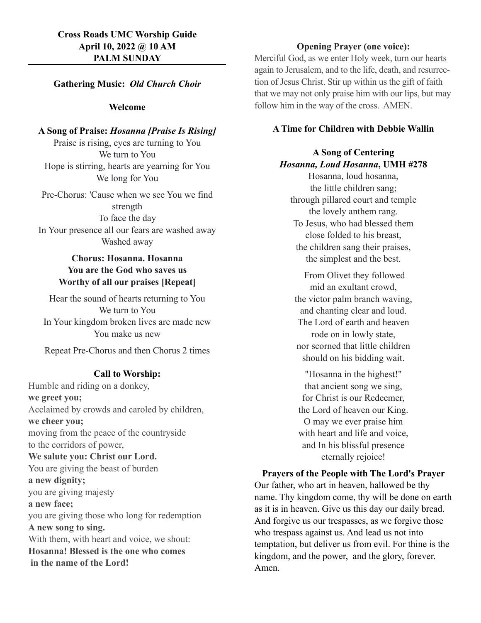## **Gathering Music:** *Old Church Choir*

### **Welcome**

**A Song of Praise:** *Hosanna [Praise Is Rising]* Praise is rising, eyes are turning to You We turn to You Hope is stirring, hearts are yearning for You We long for You

Pre-Chorus: 'Cause when we see You we find strength To face the day In Your presence all our fears are washed away Washed away

# **Chorus: Hosanna. Hosanna You are the God who saves us Worthy of all our praises [Repeat]**

Hear the sound of hearts returning to You We turn to You In Your kingdom broken lives are made new You make us new

Repeat Pre-Chorus and then Chorus 2 times

### **Call to Worship:**

Humble and riding on a donkey, **we greet you;** Acclaimed by crowds and caroled by children, **we cheer you;** moving from the peace of the countryside to the corridors of power, **We salute you: Christ our Lord.** You are giving the beast of burden **a new dignity;** you are giving majesty **a new face;** you are giving those who long for redemption **A new song to sing.** With them, with heart and voice, we shout: **Hosanna! Blessed is the one who comes in the name of the Lord!**

## **Opening Prayer (one voice):**

Merciful God, as we enter Holy week, turn our hearts again to Jerusalem, and to the life, death, and resurrection of Jesus Christ. Stir up within us the gift of faith that we may not only praise him with our lips, but may follow him in the way of the cross. AMEN.

## **A Time for Children with Debbie Wallin**

## **A Song of Centering** *Hosanna, Loud Hosanna***, UMH #278**

Hosanna, loud hosanna, the little children sang; through pillared court and temple the lovely anthem rang. To Jesus, who had blessed them close folded to his breast the children sang their praises, the simplest and the best.

 From Olivet they followed mid an exultant crowd, the victor palm branch waving, and chanting clear and loud. The Lord of earth and heaven rode on in lowly state, nor scorned that little children should on his bidding wait.

"Hosanna in the highest!" that ancient song we sing, for Christ is our Redeemer, the Lord of heaven our King. O may we ever praise him with heart and life and voice, and In his blissful presence eternally rejoice!

**Prayers of the People with The Lord's Prayer** Our father, who art in heaven, hallowed be thy name. Thy kingdom come, thy will be done on earth as it is in heaven. Give us this day our daily bread. And forgive us our trespasses, as we forgive those who trespass against us. And lead us not into temptation, but deliver us from evil. For thine is the kingdom, and the power, and the glory, forever. Amen.